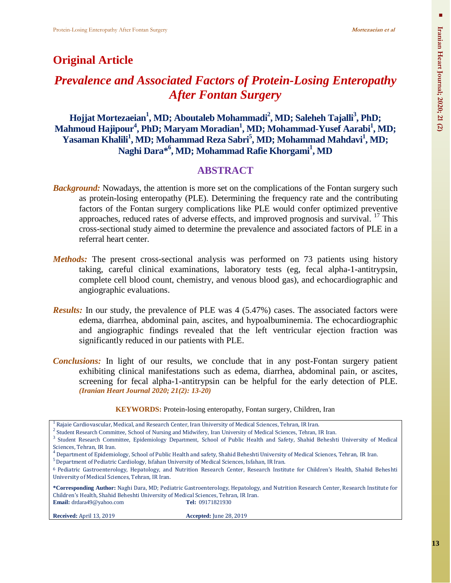## **Original Article**

# *Prevalence and Associated Factors of Protein-Losing Enteropathy After Fontan Surgery*

**Hojjat Mortezaeian<sup>1</sup> , MD; Aboutaleb Mohammadi<sup>2</sup> , MD; Saleheh Tajalli<sup>3</sup> , PhD; Mahmoud Hajipour<sup>4</sup> , PhD; Maryam Moradian<sup>1</sup> , MD; Mohammad-Yusef Aarabi<sup>1</sup> , MD; Yasaman Khalili<sup>1</sup> , MD; Mohammad Reza Sabri<sup>5</sup> , MD; Mohammad Mahdavi<sup>1</sup> , MD; Naghi Dara\* 6 , MD; Mohammad Rafie Khorgami<sup>1</sup> , MD**

## **ABSTRACT**

- *Background:* Nowadays, the attention is more set on the complications of the Fontan surgery such as protein-losing enteropathy (PLE). Determining the frequency rate and the contributing factors of the Fontan surgery complications like PLE would confer optimized preventive approaches, reduced rates of adverse effects, and improved prognosis and survival.<sup>17</sup> This cross-sectional study aimed to determine the prevalence and associated factors of PLE in a referral heart center.
- *Methods:* The present cross-sectional analysis was performed on 73 patients using history taking, careful clinical examinations, laboratory tests (eg, fecal alpha-1-antitrypsin, complete cell blood count, chemistry, and venous blood gas), and echocardiographic and angiographic evaluations.
- *Results:* In our study, the prevalence of PLE was 4 (5.47%) cases. The associated factors were edema, diarrhea, abdominal pain, ascites, and hypoalbuminemia. The echocardiographic and angiographic findings revealed that the left ventricular ejection fraction was significantly reduced in our patients with PLE.
- *Conclusions:* In light of our results, we conclude that in any post-Fontan surgery patient exhibiting clinical manifestations such as edema, diarrhea, abdominal pain, or ascites, screening for fecal alpha-1-antitrypsin can be helpful for the early detection of PLE. *(Iranian Heart Journal 2020; 21(2): 13-20)*

| <b>KEYWORDS:</b> Protein-losing enteropathy, Fontan surgery, Children, Iran |  |
|-----------------------------------------------------------------------------|--|
|-----------------------------------------------------------------------------|--|

<sup>1</sup> Rajaie Cardiovascular, Medical, and Research Center, Iran University of Medical Sciences, Tehran, IR Iran.

#### **Received:** April 13, 2019 **Accepted:** June 28, 2019

<sup>&</sup>lt;sup>2</sup> Student Research Committee, School of Nursing and Midwifery, Iran University of Medical Sciences, Tehran, IR Iran.

<sup>&</sup>lt;sup>3</sup> Student Research Committee, Epidemiology Department, School of Public Health and Safety, Shahid Beheshti University of Medical Sciences, Tehran, IR Iran.<br><sup>4</sup> Department of Epidemiology, School of Public Health and safety, Shahid Beheshti University of Medical Sciences, Tehran, IR Iran.

<sup>&</sup>lt;sup>5</sup> Department of Pediatric Cardiology, Isfahan University of Medical Sciences, Isfahan, IR Iran.

<sup>6</sup> Pediatric Gastroenterology, Hepatology, and Nutrition Research Center, Research Institute for Children's Health, Shahid Beheshti University of Medical Sciences, Tehran, IR Iran.

**<sup>\*</sup>Corresponding Author:** Naghi Dara, MD; Pediatric Gastroenterology, Hepatology, and Nutrition Research Center, Research Institute for Children's Health, Shahid Beheshti University of Medical Sciences, Tehran, IR Iran. **Email:** drdara49@yahoo.com **[Tel:](Tel:+984432375911)** 09171821930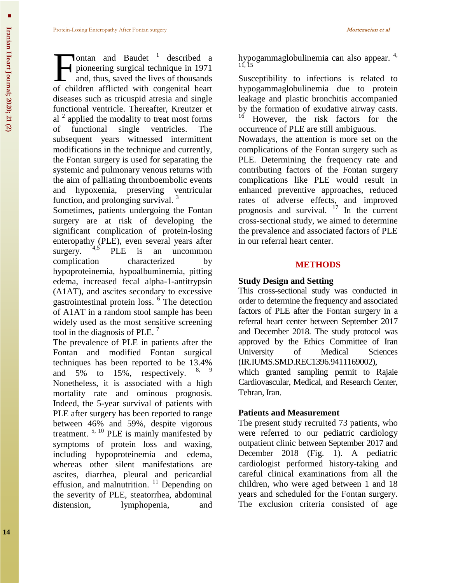ontan and Baudet<sup> $1$ </sup> described a pioneering surgical technique in 1971 and, thus, saved the lives of thousands ontan and Baudet<sup>1</sup> described a pioneering surgical technique in 1971 and, thus, saved the lives of thousands of children afflicted with congenital heart diseases such as tricuspid atresia and single functional ventricle. Thereafter, Kreutzer et al  $2$  applied the modality to treat most forms of functional single ventricles. The subsequent years witnessed intermittent modifications in the technique and currently, the Fontan surgery is used for separating the systemic and pulmonary venous returns with the aim of palliating thromboembolic events and hypoxemia, preserving ventricular function, and prolonging survival.<sup>3</sup>

Sometimes, patients undergoing the Fontan surgery are at risk of developing the significant complication of protein-losing enteropathy (PLE), even several years after surgery.  $4.5$  PLE is an uncommon complication characterized by hypoproteinemia, hypoalbuminemia, pitting edema, increased fecal alpha-1-antitrypsin (A1AT), and ascites secondary to excessive gastrointestinal protein loss. 6 The detection of A1AT in a random stool sample has been widely used as the most sensitive screening tool in the diagnosis of PLE.  $^7$ 

The prevalence of PLE in patients after the Fontan and modified Fontan surgical techniques has been reported to be 13.4% and  $5\%$  to  $15\%$ , respectively. Nonetheless, it is associated with a high mortality rate and ominous prognosis. Indeed, the 5-year survival of patients with PLE after surgery has been reported to range between 46% and 59%, despite vigorous treatment. 5, 10 PLE is mainly manifested by symptoms of protein loss and waxing, including hypoproteinemia and edema, whereas other silent manifestations are ascites, diarrhea, pleural and pericardial effusion, and malnutrition.  $\frac{11}{1}$  Depending on the severity of PLE, steatorrhea, abdominal distension, lymphopenia, and hypogammaglobulinemia can also appear.<sup>4,</sup> 11, 15

Susceptibility to infections is related to hypogammaglobulinemia due to protein leakage and plastic bronchitis accompanied by the formation of exudative airway casts. <sup>16</sup> However, the risk factors for the occurrence of PLE are still ambiguous.

Nowadays, the attention is more set on the complications of the Fontan surgery such as PLE. Determining the frequency rate and contributing factors of the Fontan surgery complications like PLE would result in enhanced preventive approaches, reduced rates of adverse effects, and improved prognosis and survival.  $17$  In the current cross-sectional study, we aimed to determine the prevalence and associated factors of PLE in our referral heart center.

#### **METHODS**

### **Study Design and Setting**

This cross-sectional study was conducted in order to determine the frequency and associated factors of PLE after the Fontan surgery in a referral heart center between September 2017 and December 2018. The study protocol was approved by the Ethics Committee of Iran University of Medical Sciences (IR.IUMS.SMD.REC1396.9411169002),

which granted sampling permit to Rajaie Cardiovascular, Medical, and Research Center, Tehran, Iran.

### **Patients and Measurement**

The present study recruited 73 patients, who were referred to our pediatric cardiology outpatient clinic between September 2017 and December 2018 (Fig. 1). A pediatric cardiologist performed history-taking and careful clinical examinations from all the children, who were aged between 1 and 18 years and scheduled for the Fontan surgery. The exclusion criteria consisted of age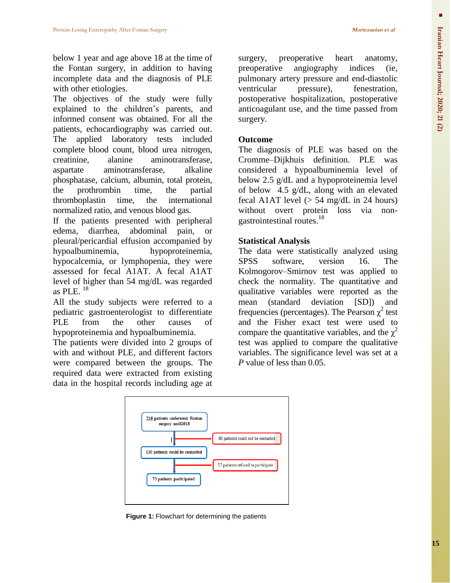below 1 year and age above 18 at the time of the Fontan surgery, in addition to having incomplete data and the diagnosis of PLE with other etiologies.

The objectives of the study were fully explained to the children's parents, and informed consent was obtained. For all the patients, echocardiography was carried out. The applied laboratory tests included complete blood count, blood urea nitrogen, creatinine, alanine aminotransferase, aspartate aminotransferase, alkaline phosphatase, calcium, albumin, total protein, the prothrombin time, the partial thromboplastin time, the international normalized ratio, and venous blood gas.

If the patients presented with peripheral edema, diarrhea, abdominal pain, or pleural/pericardial effusion accompanied by hypoalbuminemia, hypoproteinemia, hypocalcemia, or lymphopenia, they were assessed for fecal A1AT. A fecal A1AT level of higher than 54 mg/dL was regarded as PLE.  $^{18}$ 

All the study subjects were referred to a pediatric gastroenterologist to differentiate PLE from the other causes of hypoproteinemia and hypoalbuminemia.

The patients were divided into 2 groups of with and without PLE, and different factors were compared between the groups. The required data were extracted from existing data in the hospital records including age at surgery, preoperative heart anatomy, preoperative angiography indices (ie, pulmonary artery pressure and end-diastolic ventricular pressure), fenestration, postoperative hospitalization, postoperative anticoagulant use, and the time passed from surgery.

#### **Outcome**

The diagnosis of PLE was based on the Cromme–Dijkhuis definition. PLE was considered a hypoalbuminemia level of below 2.5 g/dL and a hypoproteinemia level of below 4.5 g/dL, along with an elevated fecal A1AT level  $(> 54 \text{ mg/dL in } 24 \text{ hours})$ without overt protein loss via nongastrointestinal routes. 18

### **Statistical Analysis**

The data were statistically analyzed using SPSS software, version 16. The Kolmogorov–Smirnov test was applied to check the normality. The quantitative and qualitative variables were reported as the mean (standard deviation [SD]) and frequencies (percentages). The Pearson  $\chi^2$  test and the Fisher exact test were used to compare the quantitative variables, and the  $\chi^2$ test was applied to compare the qualitative variables. The significance level was set at a *P* value of less than 0.05.



**Figure 1:** Flowchart for determining the patients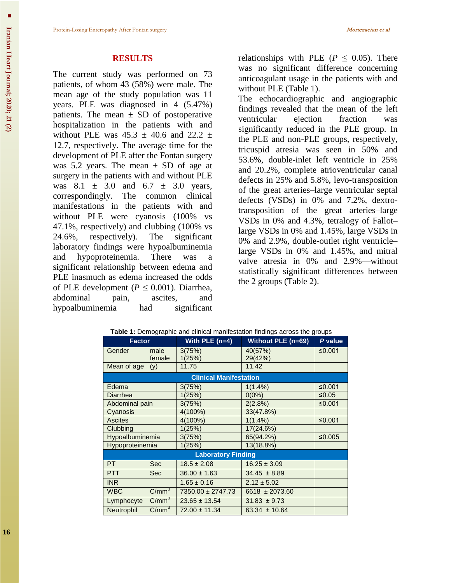#### **RESULTS**

The current study was performed on 73 patients, of whom 43 (58%) were male. The mean age of the study population was 11 years. PLE was diagnosed in 4 (5.47%) patients. The mean  $\pm$  SD of postoperative hospitalization in the patients with and without PLE was  $45.3 \pm 40.6$  and  $22.2 \pm 1$ 12.7, respectively. The average time for the development of PLE after the Fontan surgery was 5.2 years. The mean  $\pm$  SD of age at surgery in the patients with and without PLE was  $8.1 \pm 3.0$  and  $6.7 \pm 3.0$  years, correspondingly. The common clinical manifestations in the patients with and without PLE were cyanosis (100% vs 47.1%, respectively) and clubbing (100% vs 24.6%, respectively). The significant laboratory findings were hypoalbuminemia and hypoproteinemia. There was a significant relationship between edema and PLE inasmuch as edema increased the odds of PLE development ( $P \leq 0.001$ ). Diarrhea, abdominal pain, ascites, and hypoalbuminemia had significant

relationships with PLE ( $P \leq 0.05$ ). There was no significant difference concerning anticoagulant usage in the patients with and without PLE (Table 1).

The echocardiographic and angiographic findings revealed that the mean of the left ventricular ejection fraction was significantly reduced in the PLE group. In the PLE and non-PLE groups, respectively, tricuspid atresia was seen in 50% and 53.6%, double-inlet left ventricle in 25% and 20.2%, [complete atrioventricular canal](https://www.heart.org/en/health-topics/congenital-heart-defects/about-congenital-heart-defects/complete-atrioventricular-canal-defect-cavc)  [defects](https://www.heart.org/en/health-topics/congenital-heart-defects/about-congenital-heart-defects/complete-atrioventricular-canal-defect-cavc) in 25% and 5.8%, levo-transposition of the great arteries–large ventricular septal defects (VSDs) in 0% and 7.2%, dextrotransposition of the great arteries–large VSDs in 0% and 4.3%, [tetralogy of Fallot–](https://www.cincinnatichildrens.org/health/t/tof) large VSDs in 0% and 1.45%, large VSDs in 0% and 2.9%, double-outlet right ventricle– large VSDs in 0% and 1.45%, and mitral valve atresia in 0% and 2.9%—without statistically significant differences between the 2 groups (Table 2).

| <b>Factor</b>                 |                   | With PLE $(n=4)$  | <b>Without PLE (n=69)</b> | P value |
|-------------------------------|-------------------|-------------------|---------------------------|---------|
| Gender                        | male<br>female    | 3(75%)<br>1(25%)  | 40(57%)<br>29(42%)        | ≤0.001  |
| Mean of age                   | (y)               | 11.75             | 11.42                     |         |
| <b>Clinical Manifestation</b> |                   |                   |                           |         |
| Edema                         |                   | 3(75%)            | $1(1.4\%)$                | ≤0.001  |
| Diarrhea                      |                   | 1(25%)            | $0(0\%)$                  | ≤0.05   |
| Abdominal pain                |                   | 3(75%)            | 2(2.8%)                   | ≤0.001  |
| Cyanosis                      |                   | 4(100%)           | 33(47.8%)                 |         |
| <b>Ascites</b>                |                   | 4(100%)           | $1(1.4\%)$                | ≤0.001  |
| Clubbing                      |                   | 1(25%)            | 17(24.6%)                 |         |
| Hypoalbuminemia               |                   | 3(75%)            | 65(94.2%)                 | ≤0.005  |
| Hypoproteinemia               |                   | 1(25%)            | 13(18.8%)                 |         |
| <b>Laboratory Finding</b>     |                   |                   |                           |         |
| PT.                           | <b>Sec</b>        | $18.5 \pm 2.08$   | $16.25 \pm 3.09$          |         |
| <b>PTT</b>                    | <b>Sec</b>        | $36.00 \pm 1.63$  | $34.45 \pm 8.89$          |         |
| <b>INR</b>                    |                   | $1.65 \pm 0.16$   | $2.12 \pm 5.02$           |         |
| <b>WBC</b>                    | $C/mm^3$          | 7350.00 ± 2747.73 | 6618 ± 2073.60            |         |
| Lymphocyte                    | $C/mm^3$          | $23.65 \pm 13.54$ | $31.83 \pm 9.73$          |         |
| Neutrophil                    | C/mm <sup>3</sup> | 72.00 ± 11.34     | $63.34 \pm 10.64$         |         |

| Table 1: Demographic and clinical manifestation findings across the groups |  |  |  |
|----------------------------------------------------------------------------|--|--|--|
|                                                                            |  |  |  |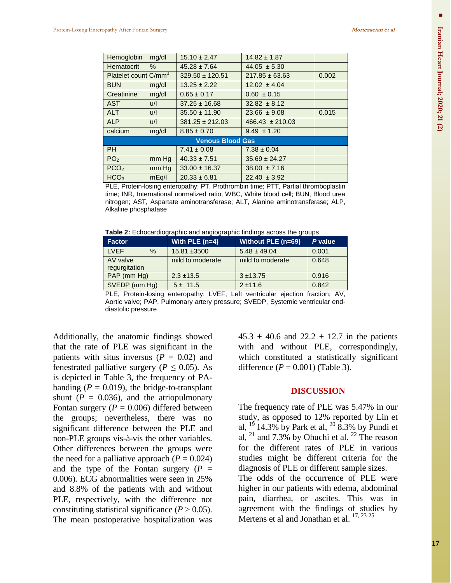| Hemoglobin                       | mg/dl | $15.10 \pm 2.47$    | $14.82 \pm 1.87$    |       |  |
|----------------------------------|-------|---------------------|---------------------|-------|--|
| Hematocrit                       | %     | $45.28 \pm 7.64$    | $44.05 \pm 5.30$    |       |  |
| Platelet count C/mm <sup>3</sup> |       | $329.50 \pm 120.51$ | $217.85 \pm 63.63$  | 0.002 |  |
| <b>BUN</b>                       | mg/dl | $13.25 \pm 2.22$    | $12.02 \pm 4.04$    |       |  |
| Creatinine                       | mg/dl | $0.65 \pm 0.17$     | $0.60 \pm 0.15$     |       |  |
| <b>AST</b>                       | u/l   | $37.25 \pm 16.68$   | $32.82 \pm 8.12$    |       |  |
| <b>ALT</b>                       | u/l   | $35.50 \pm 11.90$   | $23.66 \pm 9.08$    | 0.015 |  |
| <b>ALP</b>                       | u/l   | $381.25 \pm 212.03$ | $466.43 \pm 210.03$ |       |  |
| calcium                          | mg/dl | $8.85 \pm 0.70$     | $9.49 \pm 1.20$     |       |  |
| <b>Venous Blood Gas</b>          |       |                     |                     |       |  |
| <b>PH</b>                        |       | $7.41 \pm 0.08$     | $7.38 \pm 0.04$     |       |  |
| PO <sub>2</sub>                  | mm Hg | $40.33 \pm 7.51$    | $35.69 \pm 24.27$   |       |  |
| PCO <sub>2</sub>                 | mm Hg | $33.00 \pm 16.37$   | $38.00 \pm 7.16$    |       |  |
| HCO <sub>3</sub>                 | mEq/I | $20.33 \pm 6.81$    | $22.40 \pm 3.92$    |       |  |

PLE, Protein-losing enteropathy; PT, Prothrombin time; PTT, Partial thromboplastin time; INR, International normalized ratio; WBC, White blood cell; BUN, Blood urea nitrogen; AST, Aspartate aminotransferase; ALT, Alanine aminotransferase; ALP, Alkaline phosphatase

**Table 2:** Echocardiographic and angiographic findings across the groups

| <b>Factor</b>       | With PLE $(n=4)$                                                 | Without PLE (n=69)                          | P value            |
|---------------------|------------------------------------------------------------------|---------------------------------------------|--------------------|
| <b>LVEF</b><br>$\%$ | 15.81 ±3500                                                      | $5.48 \pm 49.04$                            | 0.001              |
| AV valve            | mild to moderate                                                 | mild to moderate                            | 0.648              |
| regurgitation       |                                                                  |                                             |                    |
| PAP (mm Hg)         | $2.3 \pm 13.5$                                                   | $3 + 13.75$                                 | 0.916              |
| SVEDP (mm Hg)       | $5 \pm 11.5$                                                     | $2 + 11.6$                                  | 0.842              |
| ---------           | $\sim$ 1.<br>$ - -$<br>$\sim$ $\sim$ $\sim$ $\sim$ $\sim$ $\sim$ | and the state of the state of<br>$\epsilon$ | $\cdots$<br>$\sim$ |

PLE, Protein-losing enteropathy; LVEF, Left ventricular ejection fraction; AV, Aortic valve; PAP, Pulmonary artery pressure; SVEDP, Systemic ventricular enddiastolic pressure

Additionally, the anatomic findings showed that the rate of PLE was significant in the patients with situs inversus  $(P = 0.02)$  and fenestrated palliative surgery ( $P \leq 0.05$ ). As is depicted in Table 3, the frequency of PAbanding  $(P = 0.019)$ , the bridge-to-transplant shunt  $(P = 0.036)$ , and the atriopulmonary Fontan surgery  $(P = 0.006)$  differed between the groups; nevertheless, there was no significant difference between the PLE and non-PLE groups vis-à-vis the other variables. Other differences between the groups were the need for a palliative approach  $(P = 0.024)$ and the type of the Fontan surgery  $(P =$ 0.006). ECG abnormalities were seen in 25% and 8.8% of the patients with and without PLE, respectively, with the difference not constituting statistical significance  $(P > 0.05)$ . The mean postoperative hospitalization was

 $45.3 \pm 40.6$  and  $22.2 \pm 12.7$  in the patients with and without PLE, correspondingly, which constituted a statistically significant difference  $(P = 0.001)$  (Table 3).

#### **DISCUSSION**

The frequency rate of PLE was 5.47% in our study, as opposed to 12% reported by Lin et al,  $^{19}$  14.3% by Park et al,  $^{20}$  8.3% by Pundi et al,  $^{21}$  and 7.3% by Ohuchi et al.  $^{22}$  The reason for the different rates of PLE in various studies might be different criteria for the diagnosis of PLE or different sample sizes.

The odds of the occurrence of PLE were higher in our patients with edema, abdominal pain, diarrhea, or ascites. This was in agreement with the findings of studies by Mertens et al and Jonathan et al. <sup>17, 23-25</sup>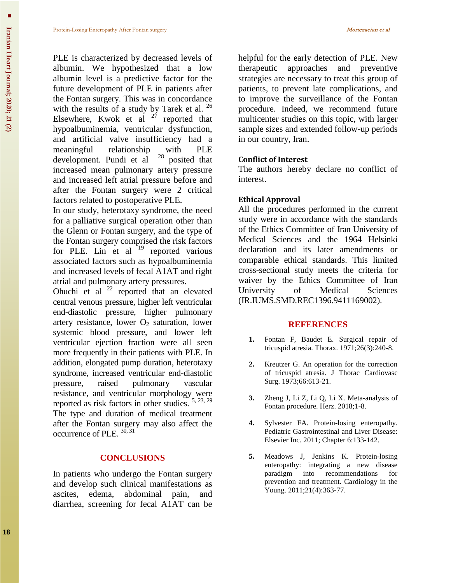PLE is characterized by decreased levels of albumin. We hypothesized that a low albumin level is a predictive factor for the future development of PLE in patients after the Fontan surgery. This was in concordance with the results of a study by Tarek et al. <sup>26</sup> Elsewhere, Kwok et al  $2^7$  reported that hypoalbuminemia, ventricular dysfunction, and artificial valve insufficiency had a meaningful relationship with PLE<br>development. Pundi et al  $^{28}$  posited that development. Pundi et al increased mean pulmonary artery pressure and increased left atrial pressure before and

after the Fontan surgery were 2 critical factors related to postoperative PLE.

In our study, heterotaxy syndrome, the need for a palliative surgical operation other than the Glenn or Fontan surgery, and the type of the Fontan surgery comprised the risk factors for PLE. Lin et al  $19$  reported various associated factors such as hypoalbuminemia and increased levels of fecal A1AT and right atrial and pulmonary artery pressures.

Ohuchi et al  $^{22}$  reported that an elevated central venous pressure, higher left ventricular end-diastolic pressure, higher pulmonary artery resistance, lower  $O_2$  saturation, lower systemic blood pressure, and lower left ventricular ejection fraction were all seen more frequently in their patients with PLE. In addition, elongated pump duration, heterotaxy syndrome, increased ventricular end-diastolic pressure, raised [pulmonary vascular](https://medical-dictionary.thefreedictionary.com/pulmonary+vascular+resistance)  [resistance,](https://medical-dictionary.thefreedictionary.com/pulmonary+vascular+resistance) and ventricular morphology were reported as risk factors in other studies. 5, 23, 29 The type and duration of medical treatment after the Fontan surgery may also affect the occurrence of PLE.  $30, 31$ 

### **CONCLUSIONS**

In patients who undergo the Fontan surgery and develop such clinical manifestations as ascites, edema, abdominal pain, and diarrhea, screening for fecal A1AT can be

helpful for the early detection of PLE. New therapeutic approaches and preventive strategies are necessary to treat this group of patients, to prevent late complications, and to improve the surveillance of the Fontan procedure. Indeed, we recommend future multicenter studies on this topic, with larger sample sizes and extended follow-up periods in our country, Iran.

### **Conflict of Interest**

The authors hereby declare no conflict of interest.

### **Ethical Approval**

All the procedures performed in the current study were in accordance with the standards of the Ethics Committee of Iran University of Medical Sciences and the 1964 Helsinki declaration and its later amendments or comparable ethical standards. This limited cross-sectional study meets the criteria for waiver by the Ethics Committee of Iran University of Medical Sciences (IR.IUMS.SMD.REC1396.9411169002).

#### **REFERENCES**

- **1.** Fontan F, Baudet E. Surgical repair of tricuspid atresia. Thorax. 1971;26(3):240-8.
- **2.** Kreutzer G. An operation for the correction of tricuspid atresia. J Thorac Cardiovasc Surg. 1973;66:613-21.
- **3.** Zheng J, Li Z, Li Q, Li X. Meta-analysis of Fontan procedure. Herz. 2018;1-8.
- **4.** Sylvester FA. Protein-losing enteropathy. Pediatric Gastrointestinal and Liver Disease: Elsevier Inc. 2011; Chapter 6:133-142.
- **5.** Meadows J, Jenkins K. Protein-losing enteropathy: integrating a new disease paradigm into recommendations for prevention and treatment. Cardiology in the Young. 2011;21(4):363-77.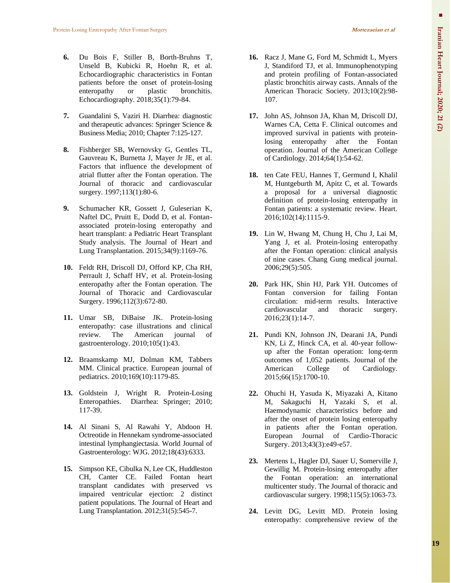- **6.** Du Bois F, Stiller B, Borth-Bruhns T, Unseld B, Kubicki R, Hoehn R, et al. Echocardiographic characteristics in Fontan patients before the onset of protein-losing enteropathy or plastic bronchitis. Echocardiography. 2018;35(1):79-84.
- **7.** Guandalini S, Vaziri H. Diarrhea: diagnostic and therapeutic advances: Springer Science & Business Media; 2010; Chapter 7:125-127.
- **8.** Fishberger SB, Wernovsky G, Gentles TL, Gauvreau K, Burnetta J, Mayer Jr JE, et al. Factors that influence the development of atrial flutter after the Fontan operation. The Journal of thoracic and cardiovascular surgery. 1997;113(1):80-6.
- **9.** Schumacher KR, Gossett J, Guleserian K, Naftel DC, Pruitt E, Dodd D, et al. Fontanassociated protein-losing enteropathy and heart transplant: a Pediatric Heart Transplant Study analysis. The Journal of Heart and Lung Transplantation. 2015;34(9):1169-76.
- **10.** Feldt RH, Driscoll DJ, Offord KP, Cha RH, Perrault J, Schaff HV, et al. Protein-losing enteropathy after the Fontan operation. The Journal of Thoracic and Cardiovascular Surgery. 1996;112(3):672-80.
- **11.** Umar SB, DiBaise JK. Protein-losing enteropathy: case illustrations and clinical review. The American journal of gastroenterology. 2010;105(1):43.
- **12.** Braamskamp MJ, Dolman KM, Tabbers MM. Clinical practice. European journal of pediatrics. 2010;169(10):1179-85.
- **13.** Goldstein J, Wright R. Protein-Losing Enteropathies. Diarrhea: Springer; 2010; 117-39.
- **14.** Al Sinani S, Al Rawahi Y, Abdoon H. Octreotide in Hennekam syndrome-associated intestinal lymphangiectasia. World Journal of Gastroenterology: WJG. 2012;18(43):6333.
- **15.** Simpson KE, Cibulka N, Lee CK, Huddleston CH, Canter CE. Failed Fontan heart transplant candidates with preserved vs impaired ventricular ejection: 2 distinct patient populations. The Journal of Heart and Lung Transplantation. 2012;31(5):545-7.
- **16.** Racz J, Mane G, Ford M, Schmidt L, Myers J, Standiford TJ, et al. Immunophenotyping and protein profiling of Fontan-associated plastic bronchitis airway casts. Annals of the American Thoracic Society. 2013;10(2):98- 107.
- **17.** John AS, Johnson JA, Khan M, Driscoll DJ, Warnes CA, Cetta F. Clinical outcomes and improved survival in patients with proteinlosing enteropathy after the Fontan operation. Journal of the American College of Cardiology. 2014;64(1):54-62.
- **18.** ten Cate FEU, Hannes T, Germund I, Khalil M, Huntgeburth M, Apitz C, et al. Towards a proposal for a universal diagnostic definition of protein-losing enteropathy in Fontan patients: a systematic review. Heart. 2016;102(14):1115-9.
- **19.** Lin W, Hwang M, Chung H, Chu J, Lai M, Yang J, et al. Protein-losing enteropathy after the Fontan operation: clinical analysis of nine cases. Chang Gung medical journal. 2006;29(5):505.
- **20.** Park HK, Shin HJ, Park YH. Outcomes of Fontan conversion for failing Fontan circulation: mid-term results. Interactive cardiovascular and thoracic surgery. 2016;23(1):14-7.
- **21.** Pundi KN, Johnson JN, Dearani JA, Pundi KN, Li Z, Hinck CA, et al. 40-year followup after the Fontan operation: long-term outcomes of 1,052 patients. Journal of the American College of Cardiology. 2015;66(15):1700-10.
- **22.** Ohuchi H, Yasuda K, Miyazaki A, Kitano M, Sakaguchi H, Yazaki S, et al. Haemodynamic characteristics before and after the onset of protein losing enteropathy in patients after the Fontan operation. European Journal of Cardio-Thoracic Surgery. 2013;43(3):e49-e57.
- **23.** Mertens L, Hagler DJ, Sauer U, Somerville J, Gewillig M. Protein-losing enteropathy after the Fontan operation: an international multicenter study. The Journal of thoracic and cardiovascular surgery. 1998;115(5):1063-73.
- **24.** Levitt DG, Levitt MD. Protein losing enteropathy: comprehensive review of the